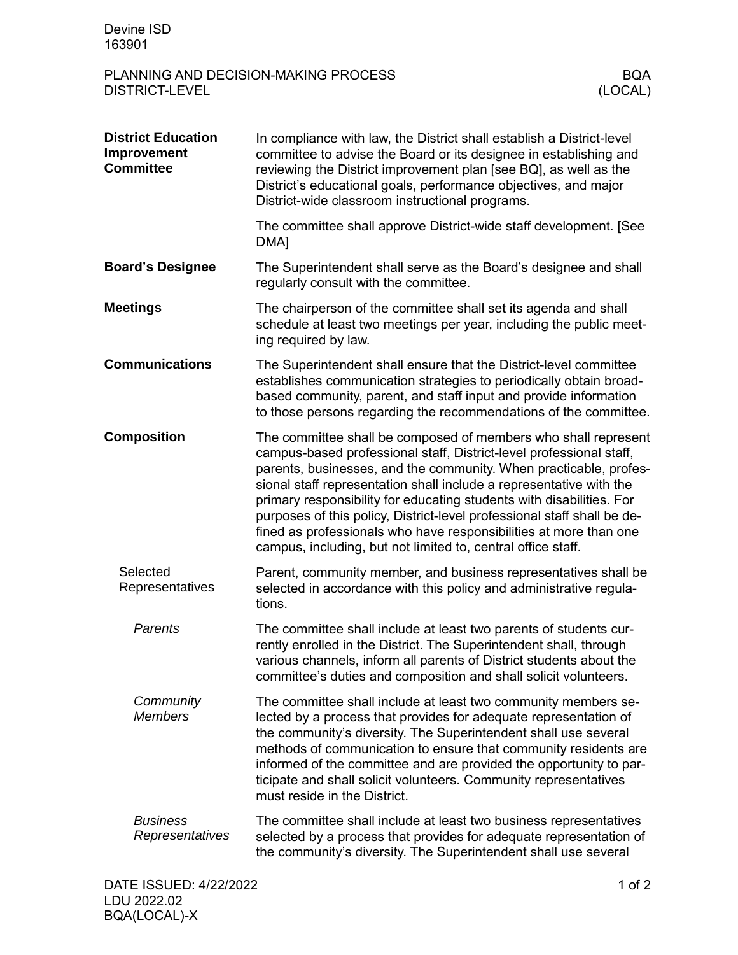| Devine ISD<br>163901                                                     |                                                                                                                                                                                                                                                                                                                                                                                                                                                                                                                                                                           |            |
|--------------------------------------------------------------------------|---------------------------------------------------------------------------------------------------------------------------------------------------------------------------------------------------------------------------------------------------------------------------------------------------------------------------------------------------------------------------------------------------------------------------------------------------------------------------------------------------------------------------------------------------------------------------|------------|
| PLANNING AND DECISION-MAKING PROCESS<br><b>DISTRICT-LEVEL</b><br>(LOCAL) |                                                                                                                                                                                                                                                                                                                                                                                                                                                                                                                                                                           | <b>BQA</b> |
| <b>District Education</b><br>Improvement<br><b>Committee</b>             | In compliance with law, the District shall establish a District-level<br>committee to advise the Board or its designee in establishing and<br>reviewing the District improvement plan [see BQ], as well as the<br>District's educational goals, performance objectives, and major<br>District-wide classroom instructional programs.                                                                                                                                                                                                                                      |            |
|                                                                          | The committee shall approve District-wide staff development. [See<br>DMA <sub>1</sub>                                                                                                                                                                                                                                                                                                                                                                                                                                                                                     |            |
| <b>Board's Designee</b>                                                  | The Superintendent shall serve as the Board's designee and shall<br>regularly consult with the committee.                                                                                                                                                                                                                                                                                                                                                                                                                                                                 |            |
| <b>Meetings</b>                                                          | The chairperson of the committee shall set its agenda and shall<br>schedule at least two meetings per year, including the public meet-<br>ing required by law.                                                                                                                                                                                                                                                                                                                                                                                                            |            |
| <b>Communications</b>                                                    | The Superintendent shall ensure that the District-level committee<br>establishes communication strategies to periodically obtain broad-<br>based community, parent, and staff input and provide information<br>to those persons regarding the recommendations of the committee.                                                                                                                                                                                                                                                                                           |            |
| <b>Composition</b>                                                       | The committee shall be composed of members who shall represent<br>campus-based professional staff, District-level professional staff,<br>parents, businesses, and the community. When practicable, profes-<br>sional staff representation shall include a representative with the<br>primary responsibility for educating students with disabilities. For<br>purposes of this policy, District-level professional staff shall be de-<br>fined as professionals who have responsibilities at more than one<br>campus, including, but not limited to, central office staff. |            |
| Selected<br>Representatives                                              | Parent, community member, and business representatives shall be<br>selected in accordance with this policy and administrative regula-<br>tions.                                                                                                                                                                                                                                                                                                                                                                                                                           |            |
| Parents                                                                  | The committee shall include at least two parents of students cur-<br>rently enrolled in the District. The Superintendent shall, through<br>various channels, inform all parents of District students about the<br>committee's duties and composition and shall solicit volunteers.                                                                                                                                                                                                                                                                                        |            |
| Community<br><b>Members</b>                                              | The committee shall include at least two community members se-<br>lected by a process that provides for adequate representation of<br>the community's diversity. The Superintendent shall use several<br>methods of communication to ensure that community residents are<br>informed of the committee and are provided the opportunity to par-<br>ticipate and shall solicit volunteers. Community representatives<br>must reside in the District.                                                                                                                        |            |
| <b>Business</b><br>Representatives                                       | The committee shall include at least two business representatives<br>selected by a process that provides for adequate representation of<br>the community's diversity. The Superintendent shall use several                                                                                                                                                                                                                                                                                                                                                                |            |